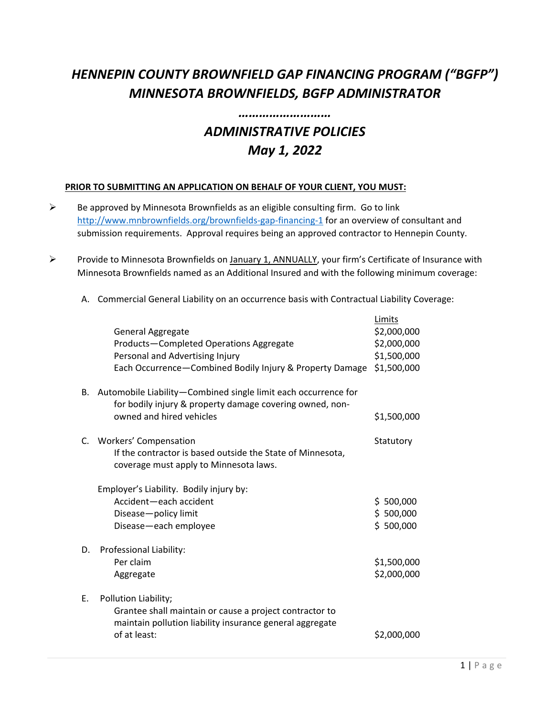## *HENNEPIN COUNTY BROWNFIELD GAP FINANCING PROGRAM ("BGFP") MINNESOTA BROWNFIELDS, BGFP ADMINISTRATOR*

## *ADMINISTRATIVE POLICIES May 1, 2022*

*………………………*

## **PRIOR TO SUBMITTING AN APPLICATION ON BEHALF OF YOUR CLIENT, YOU MUST:**

- $\triangleright$  Be approved by Minnesota Brownfields as an eligible consulting firm. Go to link <http://www.mnbrownfields.org/brownfields-gap-financing-1> for an overview of consultant and submission requirements. Approval requires being an approved contractor to Hennepin County.
- Provide to Minnesota Brownfields on January 1, ANNUALLY, your firm's Certificate of Insurance with Minnesota Brownfields named as an Additional Insured and with the following minimum coverage:

|    | General Aggregate<br>Products-Completed Operations Aggregate<br>Personal and Advertising Injury<br>Each Occurrence-Combined Bodily Injury & Property Damage | Limits<br>\$2,000,000<br>\$2,000,000<br>\$1,500,000<br>\$1,500,000 |
|----|-------------------------------------------------------------------------------------------------------------------------------------------------------------|--------------------------------------------------------------------|
| В. | Automobile Liability-Combined single limit each occurrence for<br>for bodily injury & property damage covering owned, non-<br>owned and hired vehicles      | \$1,500,000                                                        |
| C. | <b>Workers' Compensation</b><br>If the contractor is based outside the State of Minnesota,<br>coverage must apply to Minnesota laws.                        | Statutory                                                          |
|    | Employer's Liability. Bodily injury by:<br>Accident-each accident<br>Disease-policy limit<br>Disease-each employee                                          | \$500,000<br>\$500,000<br>\$500,000                                |
| D. | Professional Liability:<br>Per claim<br>Aggregate                                                                                                           | \$1,500,000<br>\$2,000,000                                         |
| Ε. | Pollution Liability;<br>Grantee shall maintain or cause a project contractor to<br>maintain pollution liability insurance general aggregate<br>of at least: | \$2,000,000                                                        |

A. Commercial General Liability on an occurrence basis with Contractual Liability Coverage: